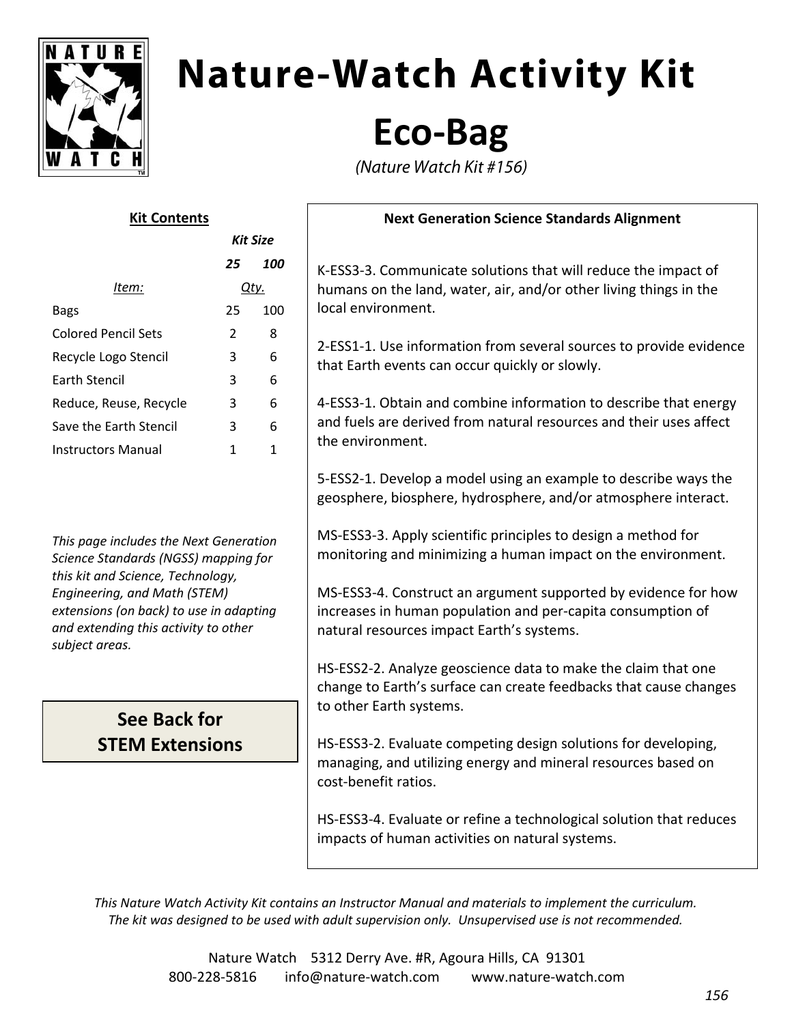

# **Nature-Watch Activity Kit**

### **Eco‐Bag**

(Nature Watch Kit #156)

| <b>Kit Contents</b>        |          |     |
|----------------------------|----------|-----|
|                            | Kit Size |     |
|                            | 25       | 100 |
| ltem:                      | Qty.     |     |
| Bags                       | 25       | 100 |
| <b>Colored Pencil Sets</b> | 2        | 8   |
| Recycle Logo Stencil       | 3        | 6   |
| <b>Farth Stencil</b>       | 3        | 6   |
| Reduce, Reuse, Recycle     | 3        | 6   |
| Save the Farth Stencil     | 3        | 6   |
| Instructors Manual         | 1        |     |
|                            |          |     |

*This page includes the Next Generation Science Standards (NGSS) mapping for this kit and Science, Technology, Engineering, and Math (STEM) extensions (on back) to use in adapting and extending this activity to other subject areas.*

### **See Back for STEM Extensions**

#### **Next Generation Science Standards Alignment**

K‐ESS3‐3. Communicate solutions that will reduce the impact of humans on the land, water, air, and/or other living things in the local environment.

2‐ESS1‐1. Use information from several sources to provide evidence that Earth events can occur quickly or slowly.

4‐ESS3‐1. Obtain and combine information to describe that energy and fuels are derived from natural resources and their uses affect the environment.

5‐ESS2‐1. Develop a model using an example to describe ways the geosphere, biosphere, hydrosphere, and/or atmosphere interact.

MS‐ESS3‐3. Apply scientific principles to design a method for monitoring and minimizing a human impact on the environment.

MS‐ESS3‐4. Construct an argument supported by evidence for how increases in human population and per‐capita consumption of natural resources impact Earth's systems.

HS‐ESS2‐2. Analyze geoscience data to make the claim that one change to Earth's surface can create feedbacks that cause changes to other Earth systems.

HS‐ESS3‐2. Evaluate competing design solutions for developing, managing, and utilizing energy and mineral resources based on cost‐benefit ratios.

HS‐ESS3‐4. Evaluate or refine a technological solution that reduces impacts of human activities on natural systems.

*This Nature Watch Activity Kit contains an Instructor Manual and materials to implement the curriculum. The kit was designed to be used with adult supervision only. Unsupervised use is not recommended.*